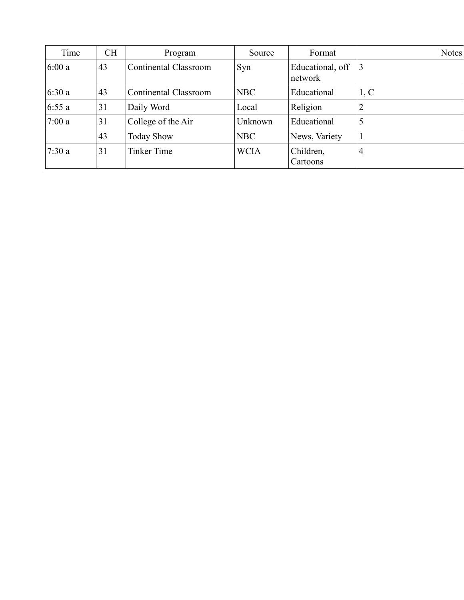| Time  | <b>CH</b> | Program                      | Source      | Format                      | <b>Notes</b> |
|-------|-----------|------------------------------|-------------|-----------------------------|--------------|
| 6:00a | 43        | <b>Continental Classroom</b> | Syn         | Educational, off<br>network | 13           |
| 6:30a | 43        | <b>Continental Classroom</b> | <b>NBC</b>  | Educational                 | 1, C         |
| 6:55a | 31        | Daily Word                   | Local       | Religion                    | 2            |
| 7:00a | 31        | College of the Air           | Unknown     | Educational                 | 5            |
|       | 43        | <b>Today Show</b>            | <b>NBC</b>  | News, Variety               |              |
| 7:30a | 31        | <b>Tinker Time</b>           | <b>WCIA</b> | Children,<br>Cartoons       | 4            |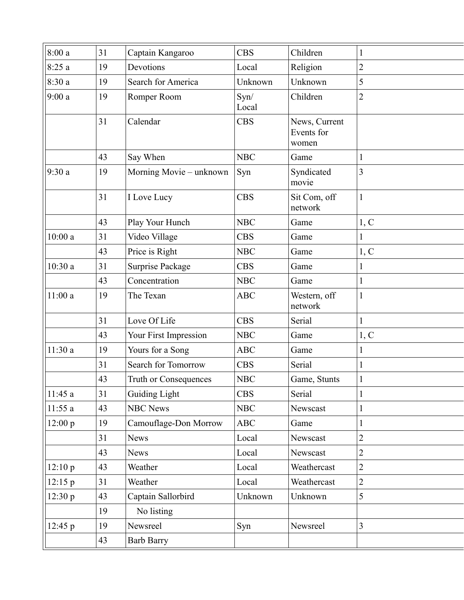| 8:00a   | 31 | Captain Kangaroo        | <b>CBS</b>    | Children                             | 1              |
|---------|----|-------------------------|---------------|--------------------------------------|----------------|
| 8:25a   | 19 | Devotions               | Local         | Religion                             | $\overline{2}$ |
| 8:30a   | 19 | Search for America      | Unknown       | Unknown                              | 5              |
| 9:00a   | 19 | Romper Room             | Syn/<br>Local | Children                             | $\overline{2}$ |
|         | 31 | Calendar                | <b>CBS</b>    | News, Current<br>Events for<br>women |                |
|         | 43 | Say When                | <b>NBC</b>    | Game                                 | 1              |
| 9:30a   | 19 | Morning Movie - unknown | Syn           | Syndicated<br>movie                  | 3              |
|         | 31 | I Love Lucy             | <b>CBS</b>    | Sit Com, off<br>network              | $\mathbf{1}$   |
|         | 43 | Play Your Hunch         | <b>NBC</b>    | Game                                 | 1, C           |
| 10:00a  | 31 | Video Village           | <b>CBS</b>    | Game                                 | 1              |
|         | 43 | Price is Right          | <b>NBC</b>    | Game                                 | 1, C           |
| 10:30a  | 31 | Surprise Package        | <b>CBS</b>    | Game                                 | 1              |
|         | 43 | Concentration           | <b>NBC</b>    | Game                                 | $\mathbf{1}$   |
| 11:00a  | 19 | The Texan               | <b>ABC</b>    | Western, off<br>network              | $\mathbf{1}$   |
|         | 31 | Love Of Life            | <b>CBS</b>    | Serial                               | 1              |
|         | 43 | Your First Impression   | <b>NBC</b>    | Game                                 | 1, C           |
| 11:30 a | 19 | Yours for a Song        | <b>ABC</b>    | Game                                 | 1              |
|         | 31 | Search for Tomorrow     | <b>CBS</b>    | Serial                               | 1              |
|         | 43 | Truth or Consequences   | <b>NBC</b>    | Game, Stunts                         |                |
| 11:45a  | 31 | Guiding Light           | <b>CBS</b>    | Serial                               | 1              |
| 11:55a  | 43 | <b>NBC News</b>         | <b>NBC</b>    | Newscast                             | 1              |
| 12:00 p | 19 | Camouflage-Don Morrow   | ABC           | Game                                 | 1              |
|         | 31 | <b>News</b>             | Local         | Newscast                             | $\overline{2}$ |
|         | 43 | <b>News</b>             | Local         | Newscast                             | $\overline{2}$ |
| 12:10 p | 43 | Weather                 | Local         | Weathercast                          | $\overline{2}$ |
| 12:15 p | 31 | Weather                 | Local         | Weathercast                          | $\overline{2}$ |
| 12:30 p | 43 | Captain Sallorbird      | Unknown       | Unknown                              | 5              |
|         | 19 | No listing              |               |                                      |                |
| 12:45 p | 19 | Newsreel                | Syn           | Newsreel                             | $\overline{3}$ |
|         | 43 | <b>Barb Barry</b>       |               |                                      |                |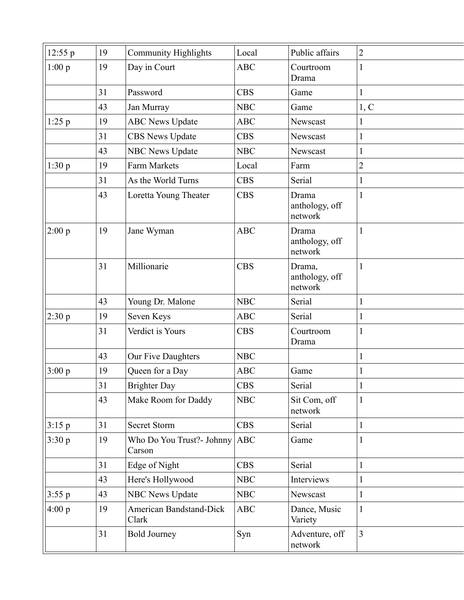| 12:55 p  | 19 | <b>Community Highlights</b>             | Local      | Public affairs                      | $\overline{2}$ |
|----------|----|-----------------------------------------|------------|-------------------------------------|----------------|
| 1:00 p   | 19 | Day in Court                            | <b>ABC</b> | Courtroom<br>Drama                  | $\mathbf{1}$   |
|          | 31 | Password                                | <b>CBS</b> | Game                                | $\mathbf{1}$   |
|          | 43 | Jan Murray                              | <b>NBC</b> | Game                                | 1, C           |
| $1:25$ p | 19 | <b>ABC News Update</b>                  | ABC        | Newscast                            | $\mathbf{1}$   |
|          | 31 | <b>CBS News Update</b>                  | <b>CBS</b> | Newscast                            | $\mathbf{1}$   |
|          | 43 | <b>NBC News Update</b>                  | <b>NBC</b> | Newscast                            | $\mathbf{1}$   |
| 1:30 p   | 19 | <b>Farm Markets</b>                     | Local      | Farm                                | $\overline{2}$ |
|          | 31 | As the World Turns                      | <b>CBS</b> | Serial                              | $\mathbf{1}$   |
|          | 43 | Loretta Young Theater                   | <b>CBS</b> | Drama<br>anthology, off<br>network  | $\mathbf{1}$   |
| 2:00 p   | 19 | Jane Wyman                              | <b>ABC</b> | Drama<br>anthology, off<br>network  | $\mathbf{1}$   |
|          | 31 | Millionarie                             | <b>CBS</b> | Drama,<br>anthology, off<br>network | $\mathbf{1}$   |
|          | 43 | Young Dr. Malone                        | <b>NBC</b> | Serial                              | $\mathbf{1}$   |
| 2:30 p   | 19 | Seven Keys                              | <b>ABC</b> | Serial                              | $\mathbf{1}$   |
|          | 31 | Verdict is Yours                        | <b>CBS</b> | Courtroom<br>Drama                  | $\mathbf{1}$   |
|          | 43 | Our Five Daughters                      | <b>NBC</b> |                                     | $\mathbf{1}$   |
| 3:00 p   | 19 | Queen for a Day                         | <b>ABC</b> | Game                                | 1              |
|          | 31 | <b>Brighter Day</b>                     | <b>CBS</b> | Serial                              | $\mathbf{1}$   |
|          | 43 | Make Room for Daddy                     | <b>NBC</b> | Sit Com, off<br>network             | $\mathbf{1}$   |
| 3:15 p   | 31 | <b>Secret Storm</b>                     | <b>CBS</b> | Serial                              | 1              |
| 3:30 p   | 19 | Who Do You Trust?- Johnny<br>Carson     | <b>ABC</b> | Game                                | $\mathbf{1}$   |
|          | 31 | Edge of Night                           | <b>CBS</b> | Serial                              | $\mathbf{1}$   |
|          | 43 | Here's Hollywood                        | <b>NBC</b> | Interviews                          | $\mathbf{1}$   |
| 3:55 p   | 43 | <b>NBC News Update</b>                  | <b>NBC</b> | Newscast                            | $\mathbf{1}$   |
| 4:00 p   | 19 | <b>American Bandstand-Dick</b><br>Clark | ABC        | Dance, Music<br>Variety             | $\mathbf{1}$   |
|          | 31 | <b>Bold Journey</b>                     | Syn        | Adventure, off<br>network           | 3              |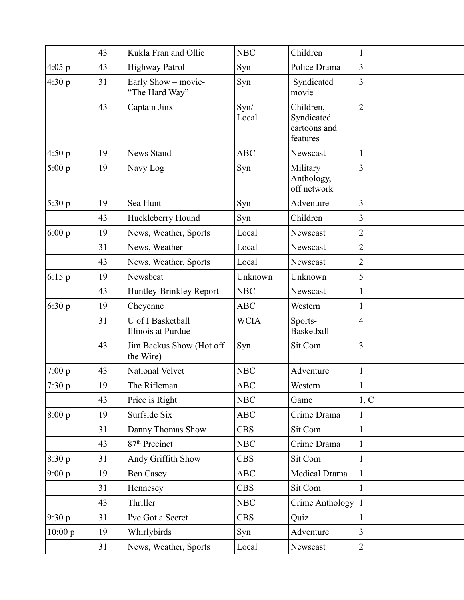|          | 43 | Kukla Fran and Ollie                    | <b>NBC</b>    | Children                                            | 1              |
|----------|----|-----------------------------------------|---------------|-----------------------------------------------------|----------------|
| 4:05 p   | 43 | Highway Patrol                          | Syn           | Police Drama                                        | $\overline{3}$ |
| 4:30p    | 31 | Early Show - movie-<br>"The Hard Way"   | Syn           | Syndicated<br>movie                                 | 3              |
|          | 43 | Captain Jinx                            | Syn/<br>Local | Children,<br>Syndicated<br>cartoons and<br>features | $\overline{2}$ |
| 4:50 p   | 19 | <b>News Stand</b>                       | <b>ABC</b>    | Newscast                                            | 1              |
| 5:00 p   | 19 | Navy Log                                | Syn           | Military<br>Anthology,<br>off network               | 3              |
| 5:30 p   | 19 | Sea Hunt                                | Syn           | Adventure                                           | 3              |
|          | 43 | Huckleberry Hound                       | Syn           | Children                                            | 3              |
| 6:00 p   | 19 | News, Weather, Sports                   | Local         | Newscast                                            | $\overline{2}$ |
|          | 31 | News, Weather                           | Local         | Newscast                                            | 2              |
|          | 43 | News, Weather, Sports                   | Local         | Newscast                                            | $\overline{2}$ |
| $6:15$ p | 19 | Newsbeat                                | Unknown       | Unknown                                             | 5              |
|          | 43 | Huntley-Brinkley Report                 | <b>NBC</b>    | Newscast                                            | $\mathbf{1}$   |
| 6:30p    | 19 | Cheyenne                                | <b>ABC</b>    | Western                                             | $\mathbf{1}$   |
|          | 31 | U of I Basketball<br>Illinois at Purdue | <b>WCIA</b>   | Sports-<br><b>Basketball</b>                        | $\overline{4}$ |
|          | 43 | Jim Backus Show (Hot off<br>the Wire)   | Syn           | Sit Com                                             | $\overline{3}$ |
| 7:00 p   | 43 | National Velvet                         | <b>NBC</b>    | Adventure                                           | 1              |
| 7:30 p   | 19 | The Rifleman                            | <b>ABC</b>    | Western                                             | 1              |
|          | 43 | Price is Right                          | <b>NBC</b>    | Game                                                | 1, C           |
| 8:00 p   | 19 | Surfside Six                            | <b>ABC</b>    | Crime Drama                                         | $\mathbf{1}$   |
|          | 31 | Danny Thomas Show                       | <b>CBS</b>    | Sit Com                                             | $\mathbf{1}$   |
|          | 43 | 87 <sup>th</sup> Precinct               | <b>NBC</b>    | Crime Drama                                         | 1              |
| 8:30 p   | 31 | Andy Griffith Show                      | <b>CBS</b>    | Sit Com                                             | $\mathbf{1}$   |
| 9:00 p   | 19 | <b>Ben Casey</b>                        | <b>ABC</b>    | Medical Drama                                       | 1              |
|          | 31 | Hennesey                                | <b>CBS</b>    | Sit Com                                             | 1              |
|          | 43 | Thriller                                | <b>NBC</b>    | Crime Anthology                                     | 1              |
| 9:30 p   | 31 | I've Got a Secret                       | <b>CBS</b>    | Quiz                                                | 1              |
| 10:00 p  | 19 | Whirlybirds                             | Syn           | Adventure                                           | 3              |
|          | 31 | News, Weather, Sports                   | Local         | Newscast                                            | $\overline{2}$ |
|          |    |                                         |               |                                                     |                |